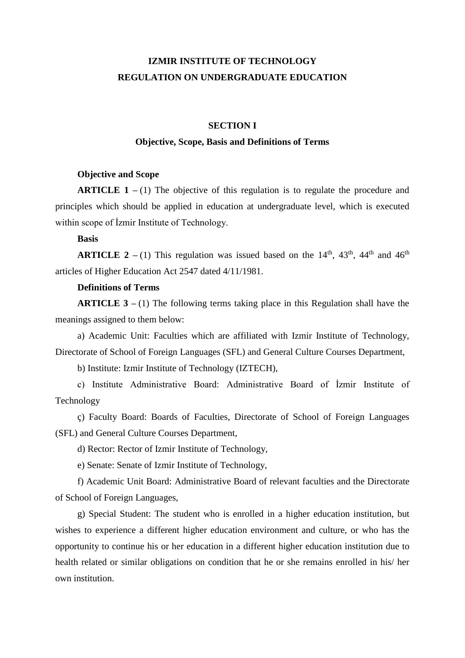# **IZMIR INSTITUTE OF TECHNOLOGY REGULATION ON UNDERGRADUATE EDUCATION**

# **SECTION I**

## **Objective, Scope, Basis and Definitions of Terms**

#### **Objective and Scope**

**ARTICLE 1** – (1) The objective of this regulation is to regulate the procedure and principles which should be applied in education at undergraduate level, which is executed within scope of İzmir Institute of Technology.

### **Basis**

**ARTICLE 2** – (1) This regulation was issued based on the  $14<sup>th</sup>$ ,  $43<sup>th</sup>$ ,  $44<sup>th</sup>$  and  $46<sup>th</sup>$ articles of Higher Education Act 2547 dated 4/11/1981.

# **Definitions of Terms**

**ARTICLE 3 –** (1) The following terms taking place in this Regulation shall have the meanings assigned to them below:

a) Academic Unit: Faculties which are affiliated with Izmir Institute of Technology, Directorate of School of Foreign Languages (SFL) and General Culture Courses Department,

b) Institute: Izmir Institute of Technology (IZTECH),

c) Institute Administrative Board: Administrative Board of İzmir Institute of Technology

ç) Faculty Board: Boards of Faculties, Directorate of School of Foreign Languages (SFL) and General Culture Courses Department,

d) Rector: Rector of Izmir Institute of Technology,

e) Senate: Senate of Izmir Institute of Technology,

f) Academic Unit Board: Administrative Board of relevant faculties and the Directorate of School of Foreign Languages,

g) Special Student: The student who is enrolled in a higher education institution, but wishes to experience a different higher education environment and culture, or who has the opportunity to continue his or her education in a different higher education institution due to health related or similar obligations on condition that he or she remains enrolled in his/ her own institution.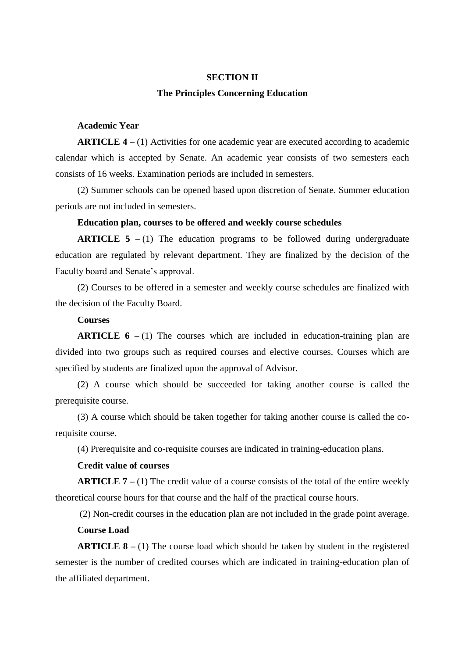#### **SECTION II**

#### **The Principles Concerning Education**

# **Academic Year**

**ARTICLE 4 –** (1) Activities for one academic year are executed according to academic calendar which is accepted by Senate. An academic year consists of two semesters each consists of 16 weeks. Examination periods are included in semesters.

(2) Summer schools can be opened based upon discretion of Senate. Summer education periods are not included in semesters.

#### **Education plan, courses to be offered and weekly course schedules**

**ARTICLE 5** – (1) The education programs to be followed during undergraduate education are regulated by relevant department. They are finalized by the decision of the Faculty board and Senate's approval.

(2) Courses to be offered in a semester and weekly course schedules are finalized with the decision of the Faculty Board.

#### **Courses**

**ARTICLE 6** – (1) The courses which are included in education-training plan are divided into two groups such as required courses and elective courses. Courses which are specified by students are finalized upon the approval of Advisor.

(2) A course which should be succeeded for taking another course is called the prerequisite course.

(3) A course which should be taken together for taking another course is called the corequisite course.

(4) Prerequisite and co-requisite courses are indicated in training-education plans.

# **Credit value of courses**

**ARTICLE 7 –** (1) The credit value of a course consists of the total of the entire weekly theoretical course hours for that course and the half of the practical course hours.

(2) Non-credit courses in the education plan are not included in the grade point average.

## **Course Load**

**ARTICLE 8 –** (1) The course load which should be taken by student in the registered semester is the number of credited courses which are indicated in training-education plan of the affiliated department.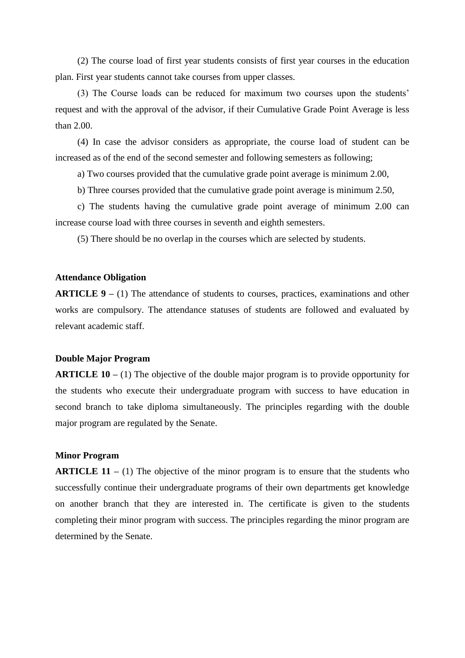(2) The course load of first year students consists of first year courses in the education plan. First year students cannot take courses from upper classes.

(3) The Course loads can be reduced for maximum two courses upon the students' request and with the approval of the advisor, if their Cumulative Grade Point Average is less than 2.00.

(4) In case the advisor considers as appropriate, the course load of student can be increased as of the end of the second semester and following semesters as following;

a) Two courses provided that the cumulative grade point average is minimum 2.00,

b) Three courses provided that the cumulative grade point average is minimum 2.50,

c) The students having the cumulative grade point average of minimum 2.00 can increase course load with three courses in seventh and eighth semesters.

(5) There should be no overlap in the courses which are selected by students.

## **Attendance Obligation**

**ARTICLE 9 –** (1) The attendance of students to courses, practices, examinations and other works are compulsory. The attendance statuses of students are followed and evaluated by relevant academic staff.

#### **Double Major Program**

**ARTICLE 10 –** (1) The objective of the double major program is to provide opportunity for the students who execute their undergraduate program with success to have education in second branch to take diploma simultaneously. The principles regarding with the double major program are regulated by the Senate.

#### **Minor Program**

**ARTICLE 11** – (1) The objective of the minor program is to ensure that the students who successfully continue their undergraduate programs of their own departments get knowledge on another branch that they are interested in. The certificate is given to the students completing their minor program with success. The principles regarding the minor program are determined by the Senate.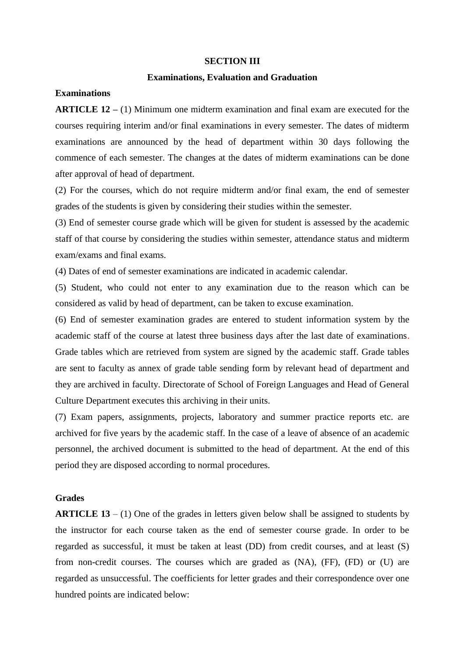#### **SECTION III**

#### **Examinations, Evaluation and Graduation**

## **Examinations**

**ARTICLE 12 –** (1) Minimum one midterm examination and final exam are executed for the courses requiring interim and/or final examinations in every semester. The dates of midterm examinations are announced by the head of department within 30 days following the commence of each semester. The changes at the dates of midterm examinations can be done after approval of head of department.

(2) For the courses, which do not require midterm and/or final exam, the end of semester grades of the students is given by considering their studies within the semester.

(3) End of semester course grade which will be given for student is assessed by the academic staff of that course by considering the studies within semester, attendance status and midterm exam/exams and final exams.

(4) Dates of end of semester examinations are indicated in academic calendar.

(5) Student, who could not enter to any examination due to the reason which can be considered as valid by head of department, can be taken to excuse examination.

(6) End of semester examination grades are entered to student information system by the academic staff of the course at latest three business days after the last date of examinations. Grade tables which are retrieved from system are signed by the academic staff. Grade tables are sent to faculty as annex of grade table sending form by relevant head of department and they are archived in faculty. Directorate of School of Foreign Languages and Head of General Culture Department executes this archiving in their units.

(7) Exam papers, assignments, projects, laboratory and summer practice reports etc. are archived for five years by the academic staff. In the case of a leave of absence of an academic personnel, the archived document is submitted to the head of department. At the end of this period they are disposed according to normal procedures.

#### **Grades**

**ARTICLE 13** – (1) One of the grades in letters given below shall be assigned to students by the instructor for each course taken as the end of semester course grade. In order to be regarded as successful, it must be taken at least (DD) from credit courses, and at least (S) from non-credit courses. The courses which are graded as (NA), (FF), (FD) or (U) are regarded as unsuccessful. The coefficients for letter grades and their correspondence over one hundred points are indicated below: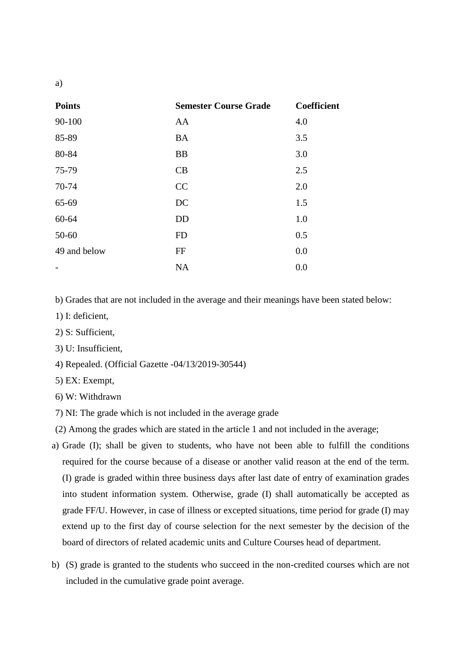| <b>Points</b> | <b>Semester Course Grade</b> | Coefficient |
|---------------|------------------------------|-------------|
| 90-100        | AA                           | 4.0         |
| 85-89         | <b>BA</b>                    | 3.5         |
| 80-84         | <b>BB</b>                    | 3.0         |
| 75-79         | CB                           | 2.5         |
| 70-74         | CC                           | 2.0         |
| 65-69         | DC                           | 1.5         |
| 60-64         | DD                           | 1.0         |
| 50-60         | <b>FD</b>                    | 0.5         |
| 49 and below  | FF                           | 0.0         |
|               | <b>NA</b>                    | 0.0         |

b) Grades that are not included in the average and their meanings have been stated below:

- 1) I: deficient,
- 2) S: Sufficient,
- 3) U: Insufficient,
- 4) Repealed. (Official Gazette -04/13/2019-30544)
- 5) EX: Exempt,
- 6) W: Withdrawn
- 7) NI: The grade which is not included in the average grade
- (2) Among the grades which are stated in the article 1 and not included in the average;
- a) Grade (I); shall be given to students, who have not been able to fulfill the conditions required for the course because of a disease or another valid reason at the end of the term. (I) grade is graded within three business days after last date of entry of examination grades into student information system. Otherwise, grade (I) shall automatically be accepted as grade FF/U. However, in case of illness or excepted situations, time period for grade (I) may extend up to the first day of course selection for the next semester by the decision of the board of directors of related academic units and Culture Courses head of department.
- b) (S) grade is granted to the students who succeed in the non-credited courses which are not included in the cumulative grade point average.

a)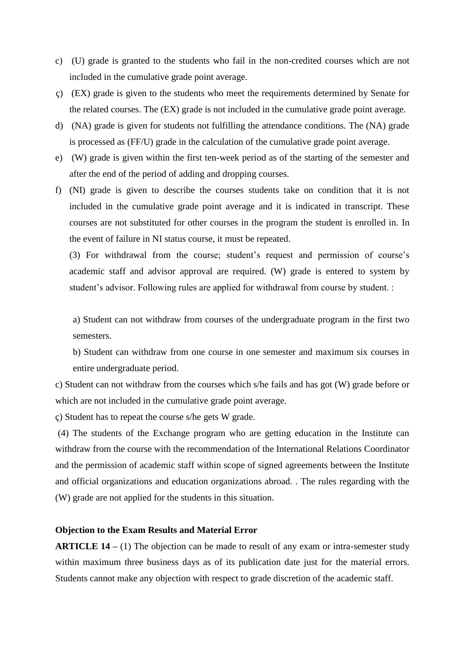- c) (U) grade is granted to the students who fail in the non-credited courses which are not included in the cumulative grade point average.
- ç) (EX) grade is given to the students who meet the requirements determined by Senate for the related courses. The (EX) grade is not included in the cumulative grade point average.
- d) (NA) grade is given for students not fulfilling the attendance conditions. The (NA) grade is processed as (FF/U) grade in the calculation of the cumulative grade point average.
- e) (W) grade is given within the first ten-week period as of the starting of the semester and after the end of the period of adding and dropping courses.
- f) (NI) grade is given to describe the courses students take on condition that it is not included in the cumulative grade point average and it is indicated in transcript. These courses are not substituted for other courses in the program the student is enrolled in. In the event of failure in NI status course, it must be repeated.

(3) For withdrawal from the course; student's request and permission of course's academic staff and advisor approval are required. (W) grade is entered to system by student's advisor. Following rules are applied for withdrawal from course by student. :

a) Student can not withdraw from courses of the undergraduate program in the first two semesters.

b) Student can withdraw from one course in one semester and maximum six courses in entire undergraduate period.

c) Student can not withdraw from the courses which s/he fails and has got (W) grade before or which are not included in the cumulative grade point average.

ç) Student has to repeat the course s/he gets W grade.

(4) The students of the Exchange program who are getting education in the Institute can withdraw from the course with the recommendation of the International Relations Coordinator and the permission of academic staff within scope of signed agreements between the Institute and official organizations and education organizations abroad. . The rules regarding with the (W) grade are not applied for the students in this situation.

## **Objection to the Exam Results and Material Error**

**ARTICLE 14 –** (1) The objection can be made to result of any exam or intra-semester study within maximum three business days as of its publication date just for the material errors. Students cannot make any objection with respect to grade discretion of the academic staff.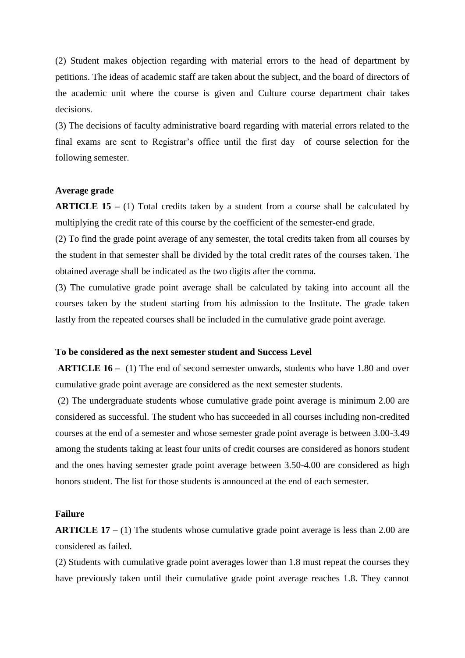(2) Student makes objection regarding with material errors to the head of department by petitions. The ideas of academic staff are taken about the subject, and the board of directors of the academic unit where the course is given and Culture course department chair takes decisions.

(3) The decisions of faculty administrative board regarding with material errors related to the final exams are sent to Registrar's office until the first day of course selection for the following semester.

#### **Average grade**

**ARTICLE 15 –** (1) Total credits taken by a student from a course shall be calculated by multiplying the credit rate of this course by the coefficient of the semester-end grade.

(2) To find the grade point average of any semester, the total credits taken from all courses by the student in that semester shall be divided by the total credit rates of the courses taken. The obtained average shall be indicated as the two digits after the comma.

(3) The cumulative grade point average shall be calculated by taking into account all the courses taken by the student starting from his admission to the Institute. The grade taken lastly from the repeated courses shall be included in the cumulative grade point average.

#### **To be considered as the next semester student and Success Level**

**ARTICLE 16 –** (1) The end of second semester onwards, students who have 1.80 and over cumulative grade point average are considered as the next semester students.

(2) The undergraduate students whose cumulative grade point average is minimum 2.00 are considered as successful. The student who has succeeded in all courses including non-credited courses at the end of a semester and whose semester grade point average is between 3.00-3.49 among the students taking at least four units of credit courses are considered as honors student and the ones having semester grade point average between 3.50-4.00 are considered as high honors student. The list for those students is announced at the end of each semester.

# **Failure**

**ARTICLE 17 –** (1) The students whose cumulative grade point average is less than 2.00 are considered as failed.

(2) Students with cumulative grade point averages lower than 1.8 must repeat the courses they have previously taken until their cumulative grade point average reaches 1.8. They cannot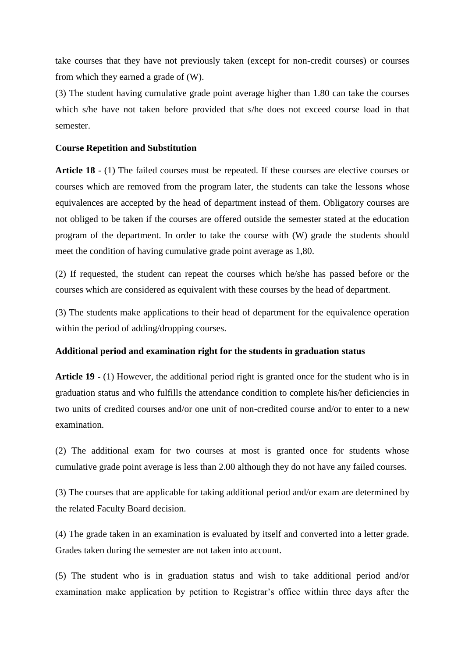take courses that they have not previously taken (except for non-credit courses) or courses from which they earned a grade of (W).

(3) The student having cumulative grade point average higher than 1.80 can take the courses which s/he have not taken before provided that s/he does not exceed course load in that semester.

#### **Course Repetition and Substitution**

**Article 18** - (1) The failed courses must be repeated. If these courses are elective courses or courses which are removed from the program later, the students can take the lessons whose equivalences are accepted by the head of department instead of them. Obligatory courses are not obliged to be taken if the courses are offered outside the semester stated at the education program of the department. In order to take the course with (W) grade the students should meet the condition of having cumulative grade point average as 1,80.

(2) If requested, the student can repeat the courses which he/she has passed before or the courses which are considered as equivalent with these courses by the head of department.

(3) The students make applications to their head of department for the equivalence operation within the period of adding/dropping courses.

#### **Additional period and examination right for the students in graduation status**

**Article 19 -** (1) However, the additional period right is granted once for the student who is in graduation status and who fulfills the attendance condition to complete his/her deficiencies in two units of credited courses and/or one unit of non-credited course and/or to enter to a new examination.

(2) The additional exam for two courses at most is granted once for students whose cumulative grade point average is less than 2.00 although they do not have any failed courses.

(3) The courses that are applicable for taking additional period and/or exam are determined by the related Faculty Board decision.

(4) The grade taken in an examination is evaluated by itself and converted into a letter grade. Grades taken during the semester are not taken into account.

(5) The student who is in graduation status and wish to take additional period and/or examination make application by petition to Registrar's office within three days after the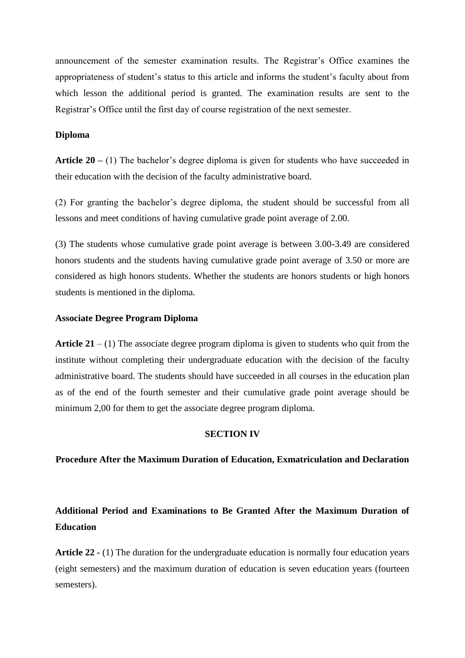announcement of the semester examination results. The Registrar's Office examines the appropriateness of student's status to this article and informs the student's faculty about from which lesson the additional period is granted. The examination results are sent to the Registrar's Office until the first day of course registration of the next semester.

#### **Diploma**

**Article 20 –** (1) The bachelor's degree diploma is given for students who have succeeded in their education with the decision of the faculty administrative board.

(2) For granting the bachelor's degree diploma, the student should be successful from all lessons and meet conditions of having cumulative grade point average of 2.00.

(3) The students whose cumulative grade point average is between 3.00-3.49 are considered honors students and the students having cumulative grade point average of 3.50 or more are considered as high honors students. Whether the students are honors students or high honors students is mentioned in the diploma.

#### **Associate Degree Program Diploma**

**Article 21** – (1) The associate degree program diploma is given to students who quit from the institute without completing their undergraduate education with the decision of the faculty administrative board. The students should have succeeded in all courses in the education plan as of the end of the fourth semester and their cumulative grade point average should be minimum 2,00 for them to get the associate degree program diploma.

#### **SECTION IV**

**Procedure After the Maximum Duration of Education, Exmatriculation and Declaration**

# **Additional Period and Examinations to Be Granted After the Maximum Duration of Education**

**Article 22 -** (1) The duration for the undergraduate education is normally four education years (eight semesters) and the maximum duration of education is seven education years (fourteen semesters).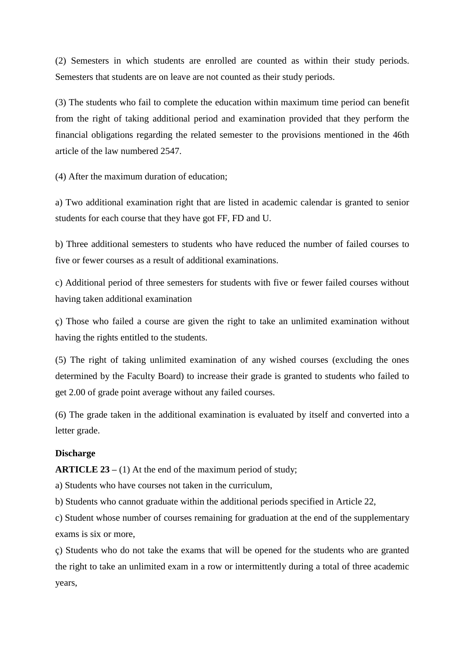(2) Semesters in which students are enrolled are counted as within their study periods. Semesters that students are on leave are not counted as their study periods.

(3) The students who fail to complete the education within maximum time period can benefit from the right of taking additional period and examination provided that they perform the financial obligations regarding the related semester to the provisions mentioned in the 46th article of the law numbered 2547.

(4) After the maximum duration of education;

a) Two additional examination right that are listed in academic calendar is granted to senior students for each course that they have got FF, FD and U.

b) Three additional semesters to students who have reduced the number of failed courses to five or fewer courses as a result of additional examinations.

c) Additional period of three semesters for students with five or fewer failed courses without having taken additional examination

ç) Those who failed a course are given the right to take an unlimited examination without having the rights entitled to the students.

(5) The right of taking unlimited examination of any wished courses (excluding the ones determined by the Faculty Board) to increase their grade is granted to students who failed to get 2.00 of grade point average without any failed courses.

(6) The grade taken in the additional examination is evaluated by itself and converted into a letter grade.

#### **Discharge**

**ARTICLE 23** – (1) At the end of the maximum period of study;

a) Students who have courses not taken in the curriculum,

b) Students who cannot graduate within the additional periods specified in Article 22,

c) Student whose number of courses remaining for graduation at the end of the supplementary exams is six or more,

ç) Students who do not take the exams that will be opened for the students who are granted the right to take an unlimited exam in a row or intermittently during a total of three academic years,